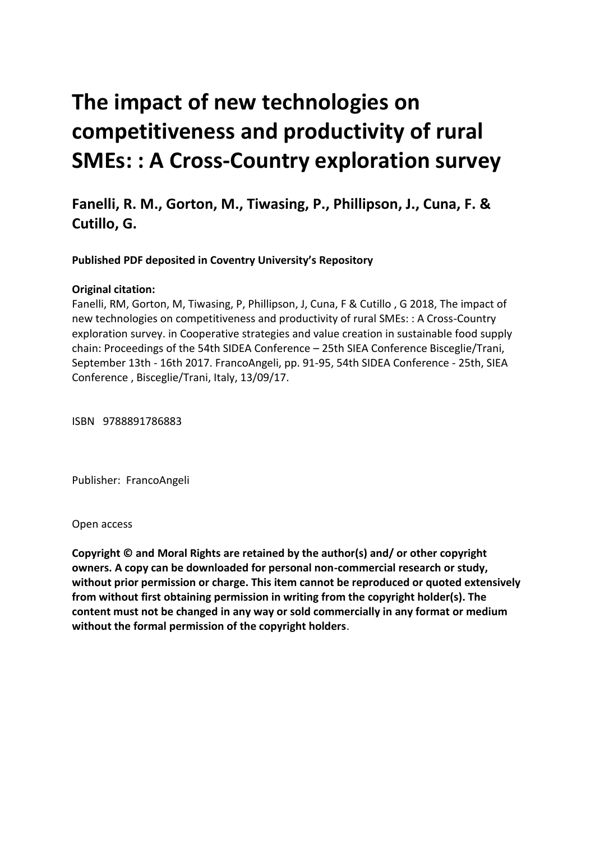# **The impact of new technologies on competitiveness and productivity of rural SMEs: : A Cross-Country exploration survey**

**Fanelli, R. M., Gorton, M., Tiwasing, P., Phillipson, J., Cuna, F. & Cutillo, G.** 

 **Published PDF deposited in Coventry University's Repository**

### **Original citation:**

 Fanelli, RM, Gorton, M, Tiwasing, P, Phillipson, J, Cuna, F & Cutillo , G 2018, The impact of exploration survey. in Cooperative strategies and value creation in sustainable food supply chain: Proceedings of the 54th SIDEA Conference – 25th SIEA Conference Bisceglie/Trani, September 13th - 16th 2017. FrancoAngeli, pp. 91-95, 54th SIDEA Conference - 25th, SIEA new technologies on competitiveness and productivity of rural SMEs: : A Cross-Country Conference , Bisceglie/Trani, Italy, 13/09/17.

ISBN 9788891786883

Publisher: FrancoAngeli

Open access

 **Copyright © and Moral Rights are retained by the author(s) and/ or other copyright owners. A copy can be downloaded for personal non-commercial research or study, without prior permission or charge. This item cannot be reproduced or quoted extensively from without first obtaining permission in writing from the copyright holder(s). The content must not be changed in any way or sold commercially in any format or medium without the formal permission of the copyright holders**.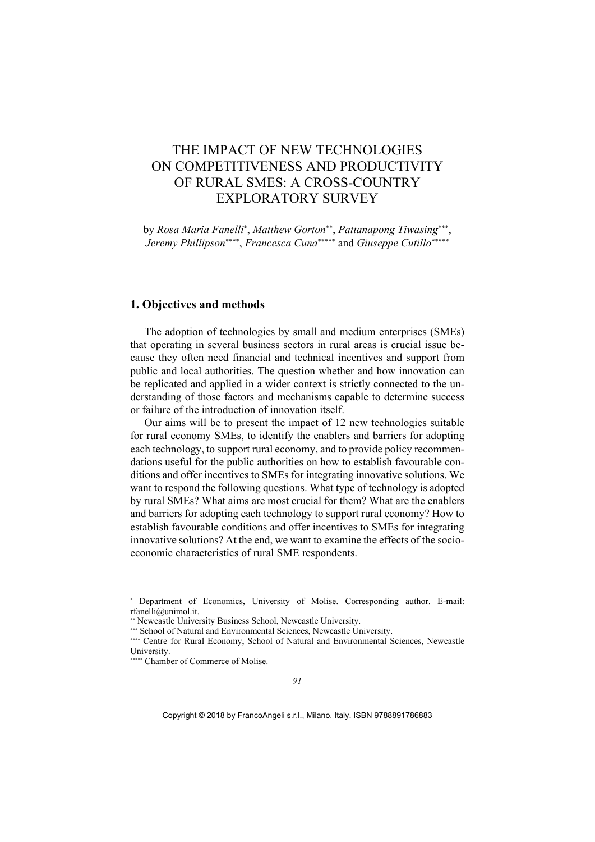## THE IMPACT OF NEW TECHNOLOGIES ON COMPETITIVENESS AND PRODUCTIVITY OF RURAL SMES: A CROSS-COUNTRY EXPLORATORY SURVEY

by Rosa Maria Fanelli<sup>\*</sup>, Matthew Gorton<sup>\*\*</sup>, Pattanapong Tiwasing<sup>\*\*\*</sup>, *Jeremy Phillipson*<sup>\*\*\*\*</sup>, *Francesca Cuna*<sup>\*\*\*\*\*</sup> and *Giuseppe Cutillo*<sup>\*\*\*\*\*</sup>

#### **1. Objectives and methods**

 be replicated and applied in a wider context is strictly connected to the un- derstanding of those factors and mechanisms capable to determine success The adoption of technologies by small and medium enterprises (SMEs) that operating in several business sectors in rural areas is crucial issue because they often need financial and technical incentives and support from public and local authorities. The question whether and how innovation can or failure of the introduction of innovation itself.

 by rural SMEs? What aims are most crucial for them? What are the enablers Our aims will be to present the impact of 12 new technologies suitable for rural economy SMEs, to identify the enablers and barriers for adopting each technology, to support rural economy, and to provide policy recommendations useful for the public authorities on how to establish favourable conditions and offer incentives to SMEs for integrating innovative solutions. We want to respond the following questions. What type of technology is adopted and barriers for adopting each technology to support rural economy? How to establish favourable conditions and offer incentives to SMEs for integrating innovative solutions? At the end, we want to examine the effects of the socioeconomic characteristics of rural SME respondents.

\*\*\*\*\*\* Chamber of Commerce of Molise.

 Department of Economics, University of Molise. Corresponding author. E-mail: [rfanelli@unimol.it](mailto:rfanelli@unimol.it).

Newcastle University Business School, Newcastle University.

<sup>\*\*\*</sup> School of Natural and Environmental Sciences, Newcastle University.

<sup>\*\*\*\*</sup> Centre for Rural Economy, School of Natural and Environmental Sciences, Newcastle University.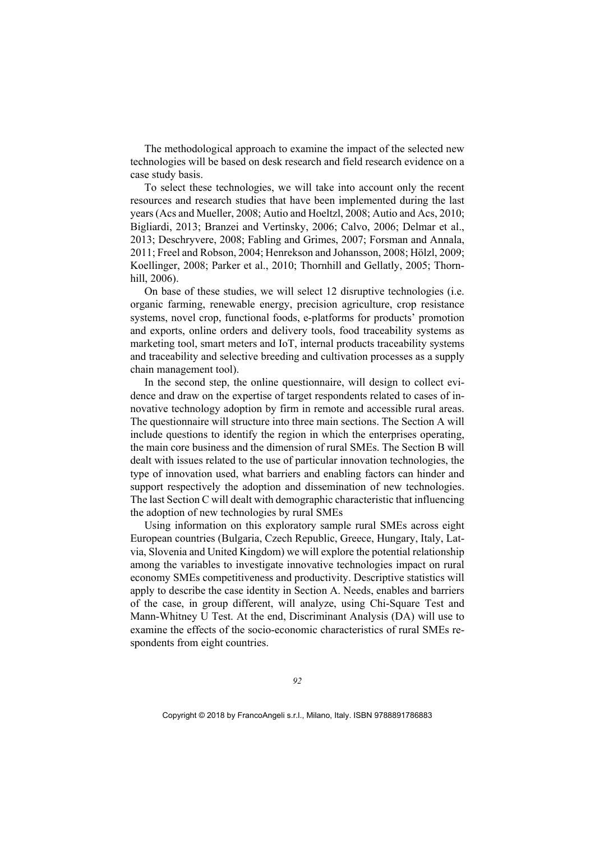The methodological approach to examine the impact of the selected new technologies will be based on desk research and field research evidence on a case study basis.

 Koellinger, 2008; Parker et al., 2010; Thornhill and Gellatly, 2005; Thorn-To select these technologies, we will take into account only the recent resources and research studies that have been implemented during the last years (Acs and Mueller, 2008; Autio and Hoeltzl, 2008; Autio and Acs, 2010; Bigliardi, 2013; Branzei and Vertinsky, 2006; Calvo, 2006; Delmar et al., 2013; Deschryvere, 2008; Fabling and Grimes, 2007; Forsman and Annala, 2011; Freel and Robson, 2004; Henrekson and Johansson, 2008; Hölzl, 2009; hill, 2006).

On base of these studies, we will select 12 disruptive technologies (i.e. organic farming, renewable energy, precision agriculture, crop resistance systems, novel crop, functional foods, e-platforms for products' promotion and exports, online orders and delivery tools, food traceability systems as marketing tool, smart meters and IoT, internal products traceability systems and traceability and selective breeding and cultivation processes as a supply chain management tool).

 novative technology adoption by firm in remote and accessible rural areas. type of innovation used, what barriers and enabling factors can hinder and In the second step, the online questionnaire, will design to collect evidence and draw on the expertise of target respondents related to cases of in-The questionnaire will structure into three main sections. The Section A will include questions to identify the region in which the enterprises operating, the main core business and the dimension of rural SMEs. The Section B will dealt with issues related to the use of particular innovation technologies, the support respectively the adoption and dissemination of new technologies. The last Section C will dealt with demographic characteristic that influencing the adoption of new technologies by rural SMEs

 via, Slovenia and United Kingdom) we will explore the potential relationship Mann-Whitney U Test. At the end, Discriminant Analysis (DA) will use to Using information on this exploratory sample rural SMEs across eight European countries (Bulgaria, Czech Republic, Greece, Hungary, Italy, Latamong the variables to investigate innovative technologies impact on rural economy SMEs competitiveness and productivity. Descriptive statistics will apply to describe the case identity in Section A. Needs, enables and barriers of the case, in group different, will analyze, using Chi-Square Test and examine the effects of the socio-economic characteristics of rural SMEs respondents from eight countries.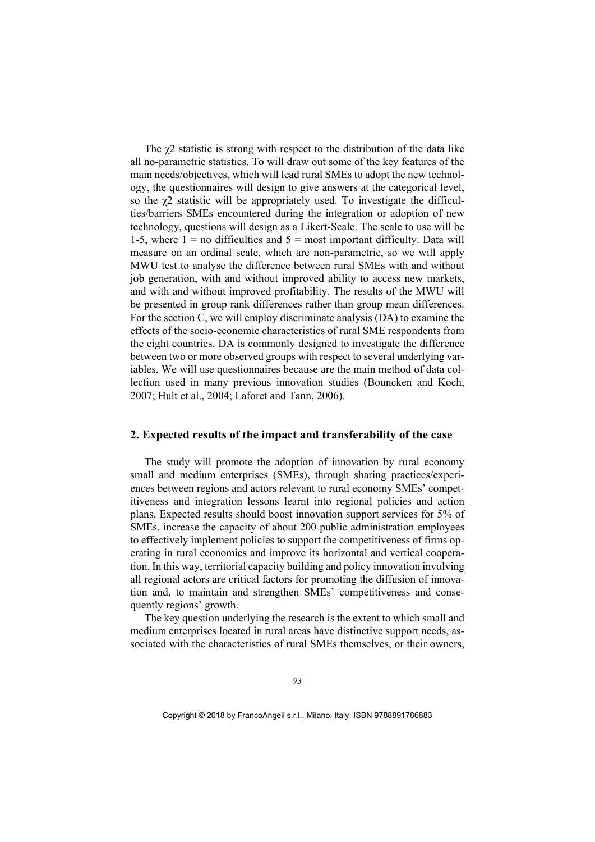1-5, where  $1 =$  no difficulties and  $5 =$  most important difficulty. Data will The χ2 statistic is strong with respect to the distribution of the data like all no-parametric statistics. To will draw out some of the key features of the main needs/objectives, which will lead rural SMEs to adopt the new technology, the questionnaires will design to give answers at the categorical level, so the χ2 statistic will be appropriately used. To investigate the difficulties/barriers SMEs encountered during the integration or adoption of new technology, questions will design as a Likert-Scale. The scale to use will be measure on an ordinal scale, which are non-parametric, so we will apply MWU test to analyse the difference between rural SMEs with and without job generation, with and without improved ability to access new markets, and with and without improved profitability. The results of the MWU will be presented in group rank differences rather than group mean differences. For the section C, we will employ discriminate analysis (DA) to examine the effects of the socio-economic characteristics of rural SME respondents from the eight countries. DA is commonly designed to investigate the difference between two or more observed groups with respect to several underlying variables. We will use questionnaires because are the main method of data collection used in many previous innovation studies (Bouncken and Koch, 2007; Hult et al., 2004; Laforet and Tann, 2006).

#### **2. Expected results of the impact and transferability of the case**

 ences between regions and actors relevant to rural economy SMEs' compet-The study will promote the adoption of innovation by rural economy small and medium enterprises (SMEs), through sharing practices/experiitiveness and integration lessons learnt into regional policies and action plans. Expected results should boost innovation support services for 5% of SMEs, increase the capacity of about 200 public administration employees to effectively implement policies to support the competitiveness of firms operating in rural economies and improve its horizontal and vertical cooperation. In this way, territorial capacity building and policy innovation involving all regional actors are critical factors for promoting the diffusion of innovation and, to maintain and strengthen SMEs' competitiveness and consequently regions' growth.

The key question underlying the research is the extent to which small and medium enterprises located in rural areas have distinctive support needs, associated with the characteristics of rural SMEs themselves, or their owners,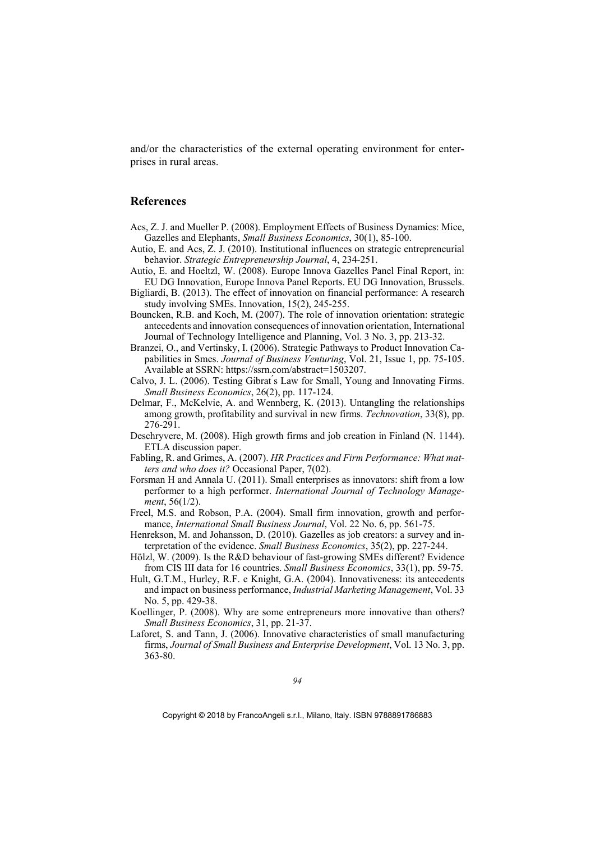and/or the characteristics of the external operating environment for enterprises in rural areas.

#### **References**

- Acs, Z. J. and Mueller P. (2008). Employment Effects of Business Dynamics: Mice, Gazelles and Elephants, *Small Business Economics*, 30(1), 85-100.
- Autio, E. and Acs, Z. J. (2010). Institutional influences on strategic entrepreneurial behavior. *Strategic Entrepreneurship Journal*, 4, 234-251.
- Autio, E. and Hoeltzl, W. (2008). Europe Innova Gazelles Panel Final Report, in: EU DG Innovation, Europe Innova Panel Reports. EU DG Innovation, Brussels.
- Bigliardi, B. (2013). The effect of innovation on financial performance: A research study involving SMEs. Innovation, 15(2), 245-255.
- Journal of Technology Intelligence and Planning, Vol. 3 No. 3, pp. 213-32. Bouncken, R.B. and Koch, M. (2007). The role of innovation orientation: strategic antecedents and innovation consequences of innovation orientation, International
- Branzei, O., and Vertinsky, I. (2006). Strategic Pathways to Product Innovation Capabilities in Smes. *Journal of Business Venturing*, Vol. 21, Issue 1, pp. 75-105. Available at SSRN:<https://ssrn.com/abstract=1503207>.
- Calvo, J. L. (2006). Testing Gibrat ́s Law for Small, Young and Innovating Firms. *Small Business Economics*, 26(2), pp. 117-124.
- among growth, profitability and survival in new firms. *Technovation*, 33(8), pp. Delmar, F., McKelvie, A. and Wennberg, K. (2013). Untangling the relationships 276-291.
- Deschryvere, M. (2008). High growth firms and job creation in Finland (N. 1144). ETLA discussion paper.
- Fabling, R. and Grimes, A. (2007). *HR Practices and Firm Performance: What matters and who does it?* Occasional Paper, 7(02).
- Forsman H and Annala U. (2011). Small enterprises as innovators: shift from a low performer to a high performer. *International Journal of Technology Manage-ment*, 56(1/2).
- Freel, M.S. and Robson, P.A. (2004). Small firm innovation, growth and performance, *International Small Business Journal*, Vol. 22 No. 6, pp. 561-75.
- Henrekson, M. and Johansson, D. (2010). Gazelles as job creators: a survey and interpretation of the evidence. *Small Business Economics*, 35(2), pp. 227-244.
- Hölzl, W. (2009). Is the R&D behaviour of fast-growing SMEs different? Evidence from CIS III data for 16 countries. *Small Business Economics*, 33(1), pp. 59-75.
- Hult, G.T.M., Hurley, R.F. e Knight, G.A. (2004). Innovativeness: its antecedents and impact on business performance, *Industrial Marketing Management*, Vol. 33 No. 5, pp. 429-38.
- Koellinger, P. (2008). Why are some entrepreneurs more innovative than others? *Small Business Economics*, 31, pp. 21-37.
- Laforet, S. and Tann, J. (2006). Innovative characteristics of small manufacturing firms, *Journal of Small Business and Enterprise Development*, Vol. 13 No. 3, pp. 363-80.